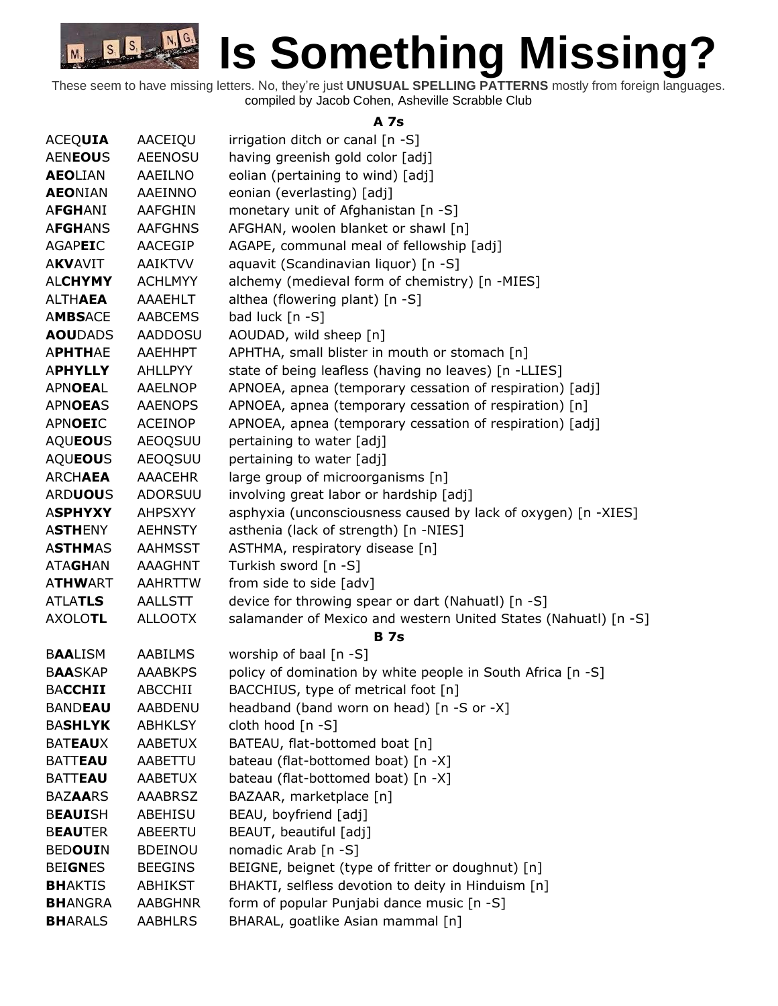

These seem to have missing letters. No, they're just **UNUSUAL SPELLING PATTERNS** mostly from foreign languages. compiled by Jacob Cohen, Asheville Scrabble Club

#### **A 7s**

| <b>ACEQUIA</b>  | AACEIQU        | irrigation ditch or canal [n -S]                                |
|-----------------|----------------|-----------------------------------------------------------------|
| <b>AENEOUS</b>  | <b>AEENOSU</b> | having greenish gold color [adj]                                |
| <b>AEOLIAN</b>  | AAEILNO        | eolian (pertaining to wind) [adj]                               |
| <b>AEONIAN</b>  | AAEINNO        | eonian (everlasting) [adj]                                      |
| <b>AFGHANI</b>  | AAFGHIN        | monetary unit of Afghanistan [n -S]                             |
| <b>AFGHANS</b>  | <b>AAFGHNS</b> | AFGHAN, woolen blanket or shawl [n]                             |
| <b>AGAPEIC</b>  | AACEGIP        | AGAPE, communal meal of fellowship [adj]                        |
| <b>AKVAVIT</b>  | <b>AAIKTVV</b> | aquavit (Scandinavian liquor) [n -S]                            |
| <b>ALCHYMY</b>  | <b>ACHLMYY</b> | alchemy (medieval form of chemistry) [n -MIES]                  |
| <b>ALTHAEA</b>  | AAAEHLT        | althea (flowering plant) [n -S]                                 |
| <b>AMBSACE</b>  | <b>AABCEMS</b> | bad luck [n -S]                                                 |
| <b>AOU</b> DADS | <b>AADDOSU</b> | AOUDAD, wild sheep [n]                                          |
| <b>APHTHAE</b>  | AAEHHPT        | APHTHA, small blister in mouth or stomach [n]                   |
| <b>APHYLLY</b>  | AHLLPYY        | state of being leafless (having no leaves) [n -LLIES]           |
| <b>APNOEAL</b>  | <b>AAELNOP</b> | APNOEA, apnea (temporary cessation of respiration) [adj]        |
| <b>APNOEAS</b>  | <b>AAENOPS</b> | APNOEA, apnea (temporary cessation of respiration) [n]          |
| <b>APNOEIC</b>  | <b>ACEINOP</b> | APNOEA, apnea (temporary cessation of respiration) [adj]        |
| <b>AQUEOUS</b>  | <b>AEOQSUU</b> | pertaining to water [adj]                                       |
| <b>AQUEOUS</b>  | <b>AEOQSUU</b> | pertaining to water [adj]                                       |
| <b>ARCHAEA</b>  | <b>AAACEHR</b> | large group of microorganisms [n]                               |
| <b>ARDUOUS</b>  | ADORSUU        | involving great labor or hardship [adj]                         |
| <b>ASPHYXY</b>  | <b>AHPSXYY</b> | asphyxia (unconsciousness caused by lack of oxygen) [n -XIES]   |
| <b>ASTHENY</b>  | <b>AEHNSTY</b> | asthenia (lack of strength) [n -NIES]                           |
| <b>ASTHMAS</b>  | <b>AAHMSST</b> | ASTHMA, respiratory disease [n]                                 |
| <b>ATAGHAN</b>  | <b>AAAGHNT</b> | Turkish sword [n -S]                                            |
| <b>ATHWART</b>  | AAHRTTW        | from side to side [adv]                                         |
| <b>ATLATLS</b>  | <b>AALLSTT</b> | device for throwing spear or dart (Nahuatl) [n -S]              |
| <b>AXOLOTL</b>  | <b>ALLOOTX</b> | salamander of Mexico and western United States (Nahuatl) [n -S] |
|                 |                | <b>B</b> 7s                                                     |
| <b>BAALISM</b>  | AABILMS        | worship of baal [n -S]                                          |
| <b>BAASKAP</b>  | <b>AAABKPS</b> | policy of domination by white people in South Africa [n -S]     |
| <b>BACCHII</b>  | <b>ABCCHII</b> | BACCHIUS, type of metrical foot [n]                             |
| <b>BANDEAU</b>  | <b>AABDENU</b> | headband (band worn on head) [n -S or -X]                       |
| <b>BASHLYK</b>  | <b>ABHKLSY</b> | cloth hood [n -S]                                               |
| <b>BATEAUX</b>  | AABETUX        | BATEAU, flat-bottomed boat [n]                                  |
| <b>BATTEAU</b>  | AABETTU        | bateau (flat-bottomed boat) [n -X]                              |
| <b>BATTEAU</b>  | <b>AABETUX</b> | bateau (flat-bottomed boat) [n -X]                              |
| <b>BAZAARS</b>  | <b>AAABRSZ</b> | BAZAAR, marketplace [n]                                         |
| <b>BEAUISH</b>  | ABEHISU        | BEAU, boyfriend [adj]                                           |
| <b>BEAUTER</b>  | ABEERTU        | BEAUT, beautiful [adj]                                          |
| <b>BEDOUIN</b>  | <b>BDEINOU</b> | nomadic Arab [n -S]                                             |
| <b>BEIGNES</b>  | <b>BEEGINS</b> | BEIGNE, beignet (type of fritter or doughnut) [n]               |
| <b>BHAKTIS</b>  | ABHIKST        | BHAKTI, selfless devotion to deity in Hinduism [n]              |
| <b>BHANGRA</b>  | <b>AABGHNR</b> | form of popular Punjabi dance music [n -S]                      |
| <b>BHARALS</b>  | <b>AABHLRS</b> | BHARAL, goatlike Asian mammal [n]                               |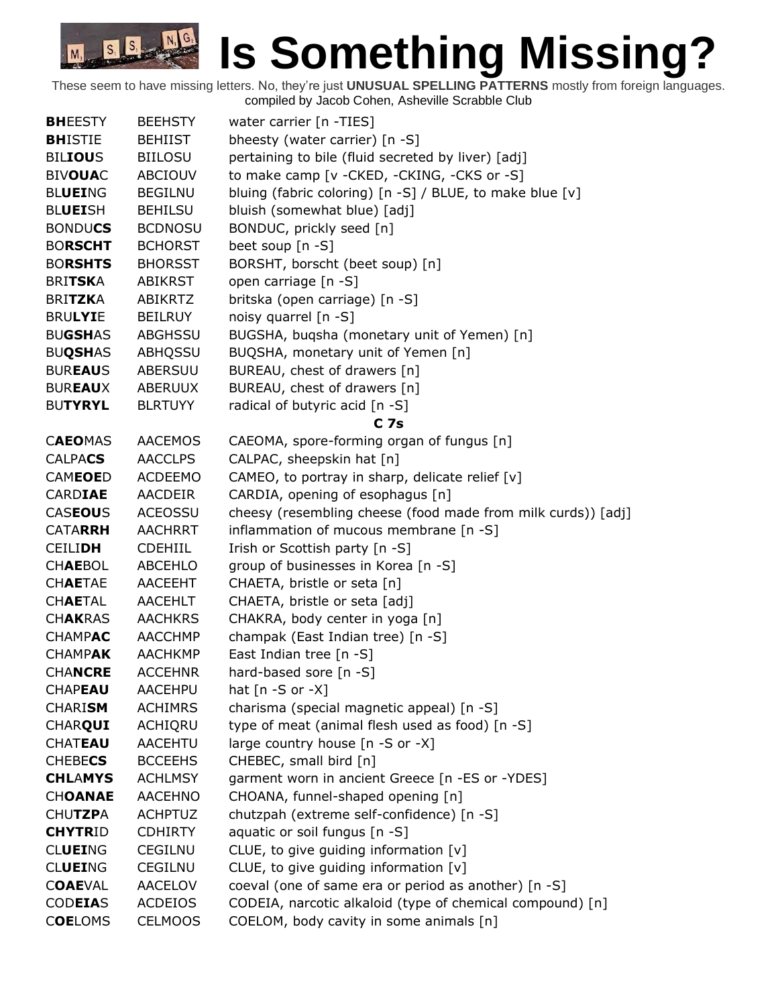| <b>BHEESTY</b> | <b>BEEHSTY</b> | water carrier [n -TIES]                                      |
|----------------|----------------|--------------------------------------------------------------|
| <b>BHISTIE</b> | <b>BEHIIST</b> | bheesty (water carrier) [n -S]                               |
| <b>BILIOUS</b> | <b>BIILOSU</b> | pertaining to bile (fluid secreted by liver) [adj]           |
| <b>BIVOUAC</b> | ABCIOUV        | to make camp [v - CKED, - CKING, - CKS or - S]               |
| <b>BLUEING</b> | <b>BEGILNU</b> | bluing (fabric coloring) [n -S] / BLUE, to make blue [v]     |
| <b>BLUEISH</b> | <b>BEHILSU</b> | bluish (somewhat blue) [adj]                                 |
| <b>BONDUCS</b> | <b>BCDNOSU</b> | BONDUC, prickly seed [n]                                     |
| <b>BORSCHT</b> | <b>BCHORST</b> | beet soup [n -S]                                             |
| <b>BORSHTS</b> | <b>BHORSST</b> | BORSHT, borscht (beet soup) [n]                              |
| <b>BRITSKA</b> | <b>ABIKRST</b> | open carriage [n -S]                                         |
| <b>BRITZKA</b> | <b>ABIKRTZ</b> | britska (open carriage) [n -S]                               |
| <b>BRULYIE</b> | <b>BEILRUY</b> | noisy quarrel [n -S]                                         |
| <b>BUGSHAS</b> | ABGHSSU        | BUGSHA, buqsha (monetary unit of Yemen) [n]                  |
| <b>BUQSHAS</b> | ABHQSSU        | BUQSHA, monetary unit of Yemen [n]                           |
| <b>BUREAUS</b> | ABERSUU        | BUREAU, chest of drawers [n]                                 |
| <b>BUREAUX</b> | <b>ABERUUX</b> | BUREAU, chest of drawers [n]                                 |
| <b>BUTYRYL</b> | <b>BLRTUYY</b> | radical of butyric acid [n -S]                               |
|                |                | C <sub>7s</sub>                                              |
| <b>CAEOMAS</b> | <b>AACEMOS</b> | CAEOMA, spore-forming organ of fungus [n]                    |
| <b>CALPACS</b> | <b>AACCLPS</b> | CALPAC, sheepskin hat [n]                                    |
| <b>CAMEOED</b> | <b>ACDEEMO</b> | CAMEO, to portray in sharp, delicate relief [v]              |
| <b>CARDIAE</b> | AACDEIR        | CARDIA, opening of esophagus [n]                             |
| <b>CASEOUS</b> | <b>ACEOSSU</b> | cheesy (resembling cheese (food made from milk curds)) [adj] |
| <b>CATARRH</b> | <b>AACHRRT</b> | inflammation of mucous membrane [n -S]                       |
| <b>CEILIDH</b> | <b>CDEHIIL</b> | Irish or Scottish party [n -S]                               |
| <b>CHAEBOL</b> | <b>ABCEHLO</b> | group of businesses in Korea [n -S]                          |
| <b>CHAETAE</b> | AACEEHT        | CHAETA, bristle or seta [n]                                  |
| <b>CHAETAL</b> | AACEHLT        | CHAETA, bristle or seta [adj]                                |
| <b>CHAKRAS</b> | <b>AACHKRS</b> | CHAKRA, body center in yoga [n]                              |
| <b>CHAMPAC</b> | <b>AACCHMP</b> | champak (East Indian tree) [n -S]                            |
| <b>CHAMPAK</b> | <b>AACHKMP</b> | East Indian tree [n -S]                                      |
| <b>CHANCRE</b> | <b>ACCEHNR</b> | hard-based sore [n -S]                                       |
| <b>CHAPEAU</b> | <b>AACEHPU</b> | hat $[n - S$ or $-X]$                                        |
| <b>CHARISM</b> | <b>ACHIMRS</b> | charisma (special magnetic appeal) [n -S]                    |
| <b>CHARQUI</b> | <b>ACHIQRU</b> | type of meat (animal flesh used as food) [n -S]              |
| <b>CHATEAU</b> | AACEHTU        | large country house [n -S or -X]                             |
| <b>CHEBECS</b> | <b>BCCEEHS</b> | CHEBEC, small bird [n]                                       |
| <b>CHLAMYS</b> | <b>ACHLMSY</b> | garment worn in ancient Greece [n -ES or -YDES]              |
| <b>CHOANAE</b> | <b>AACEHNO</b> | CHOANA, funnel-shaped opening [n]                            |
| <b>CHUTZPA</b> | <b>ACHPTUZ</b> | chutzpah (extreme self-confidence) [n -S]                    |
| <b>CHYTRID</b> | <b>CDHIRTY</b> | aquatic or soil fungus [n -S]                                |
| <b>CLUEING</b> | <b>CEGILNU</b> | CLUE, to give guiding information [v]                        |
| <b>CLUEING</b> | <b>CEGILNU</b> | CLUE, to give guiding information [v]                        |
| <b>COAEVAL</b> | <b>AACELOV</b> | coeval (one of same era or period as another) [n -S]         |
| <b>CODEIAS</b> | <b>ACDEIOS</b> | CODEIA, narcotic alkaloid (type of chemical compound) [n]    |
| <b>COELOMS</b> | <b>CELMOOS</b> | COELOM, body cavity in some animals [n]                      |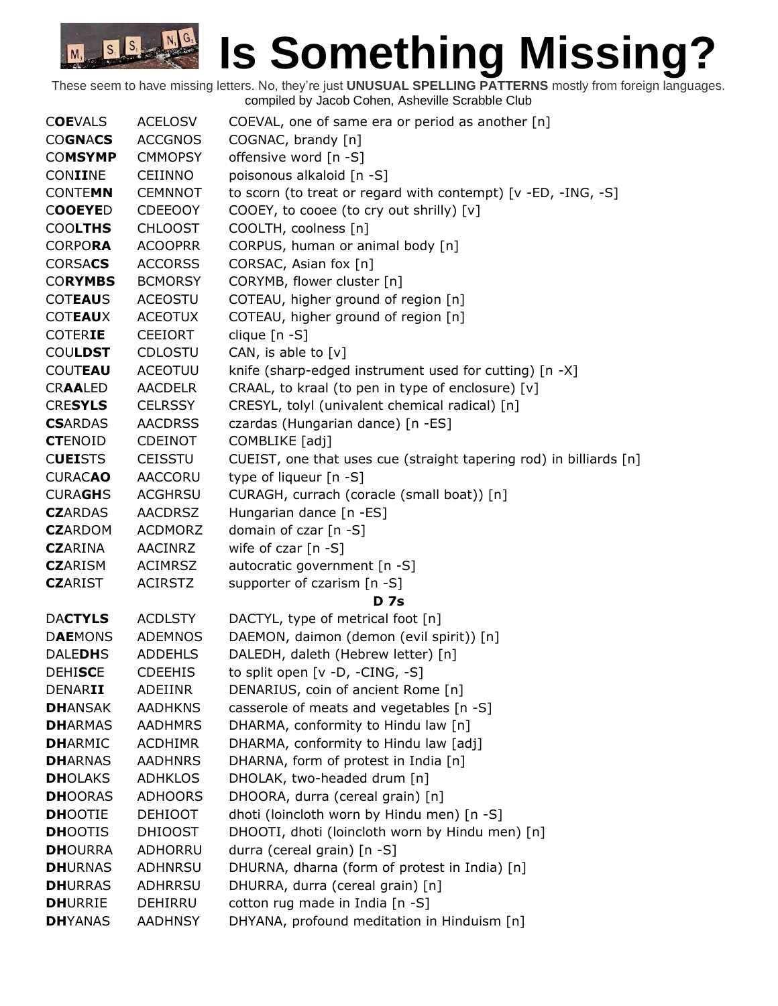| <b>COEVALS</b>  | <b>ACELOSV</b> | COEVAL, one of same era or period as another [n]                   |
|-----------------|----------------|--------------------------------------------------------------------|
| <b>COGNACS</b>  | <b>ACCGNOS</b> | COGNAC, brandy [n]                                                 |
| <b>COMSYMP</b>  | <b>CMMOPSY</b> | offensive word [n -S]                                              |
| CONIINE         | <b>CEIINNO</b> | poisonous alkaloid [n -S]                                          |
| <b>CONTEMN</b>  | <b>CEMNNOT</b> | to scorn (to treat or regard with contempt) [v -ED, -ING, -S]      |
| <b>COOEYED</b>  | <b>CDEEOOY</b> | COOEY, to cooee (to cry out shrilly) [v]                           |
| <b>COOLTHS</b>  | <b>CHLOOST</b> | COOLTH, coolness [n]                                               |
| <b>CORPORA</b>  | <b>ACOOPRR</b> | CORPUS, human or animal body [n]                                   |
| <b>CORSACS</b>  | <b>ACCORSS</b> | CORSAC, Asian fox [n]                                              |
| <b>CORYMBS</b>  | <b>BCMORSY</b> | CORYMB, flower cluster [n]                                         |
| <b>COTEAUS</b>  | <b>ACEOSTU</b> | COTEAU, higher ground of region [n]                                |
| <b>COTEAUX</b>  | <b>ACEOTUX</b> | COTEAU, higher ground of region [n]                                |
| <b>COTERIE</b>  | <b>CEEIORT</b> | clique [n -S]                                                      |
| <b>COULDST</b>  | CDLOSTU        | CAN, is able to $[v]$                                              |
| <b>COUTEAU</b>  | <b>ACEOTUU</b> | knife (sharp-edged instrument used for cutting) [n -X]             |
| <b>CRAALED</b>  | <b>AACDELR</b> | CRAAL, to kraal (to pen in type of enclosure) [v]                  |
| <b>CRESYLS</b>  | <b>CELRSSY</b> | CRESYL, tolyl (univalent chemical radical) [n]                     |
| <b>CSARDAS</b>  | <b>AACDRSS</b> | czardas (Hungarian dance) [n -ES]                                  |
| <b>CTENOID</b>  | <b>CDEINOT</b> | COMBLIKE [adj]                                                     |
| <b>CUEISTS</b>  | <b>CEISSTU</b> | CUEIST, one that uses cue (straight tapering rod) in billiards [n] |
| <b>CURACAO</b>  | AACCORU        | type of liqueur [n -S]                                             |
| <b>CURAGHS</b>  | <b>ACGHRSU</b> | CURAGH, currach (coracle (small boat)) [n]                         |
| <b>CZ</b> ARDAS | <b>AACDRSZ</b> | Hungarian dance [n -ES]                                            |
| <b>CZ</b> ARDOM | <b>ACDMORZ</b> | domain of czar [n -S]                                              |
| <b>CZ</b> ARINA | <b>AACINRZ</b> | wife of czar [n -S]                                                |
| <b>CZ</b> ARISM | <b>ACIMRSZ</b> | autocratic government [n -S]                                       |
| <b>CZ</b> ARIST | <b>ACIRSTZ</b> | supporter of czarism [n -S]                                        |
|                 |                | <b>D</b> 7s                                                        |
| <b>DACTYLS</b>  | <b>ACDLSTY</b> | DACTYL, type of metrical foot [n]                                  |
| <b>DAEMONS</b>  | <b>ADEMNOS</b> | DAEMON, daimon (demon (evil spirit)) [n]                           |
| <b>DALEDHS</b>  | <b>ADDEHLS</b> | DALEDH, daleth (Hebrew letter) [n]                                 |
| <b>DEHISCE</b>  | <b>CDEEHIS</b> | to split open [v -D, -CING, -S]                                    |
| DENARII         | ADEIINR        | DENARIUS, coin of ancient Rome [n]                                 |
| <b>DHANSAK</b>  | <b>AADHKNS</b> | casserole of meats and vegetables [n -S]                           |
| <b>DHARMAS</b>  | <b>AADHMRS</b> | DHARMA, conformity to Hindu law [n]                                |
| <b>DHARMIC</b>  | <b>ACDHIMR</b> | DHARMA, conformity to Hindu law [adj]                              |
| <b>DHARNAS</b>  | <b>AADHNRS</b> | DHARNA, form of protest in India [n]                               |
| <b>DH</b> OLAKS | <b>ADHKLOS</b> | DHOLAK, two-headed drum [n]                                        |
| <b>DHOORAS</b>  | <b>ADHOORS</b> | DHOORA, durra (cereal grain) [n]                                   |
| <b>DHOOTIE</b>  | <b>DEHIOOT</b> | dhoti (loincloth worn by Hindu men) [n -S]                         |
| <b>DHOOTIS</b>  | <b>DHIOOST</b> | DHOOTI, dhoti (loincloth worn by Hindu men) [n]                    |
| <b>DH</b> OURRA | ADHORRU        | durra (cereal grain) [n -S]                                        |
| <b>DHURNAS</b>  | <b>ADHNRSU</b> | DHURNA, dharna (form of protest in India) [n]                      |
| <b>DHURRAS</b>  | <b>ADHRRSU</b> | DHURRA, durra (cereal grain) [n]                                   |
| <b>DHURRIE</b>  | DEHIRRU        | cotton rug made in India [n -S]                                    |
| <b>DHYANAS</b>  | <b>AADHNSY</b> | DHYANA, profound meditation in Hinduism [n]                        |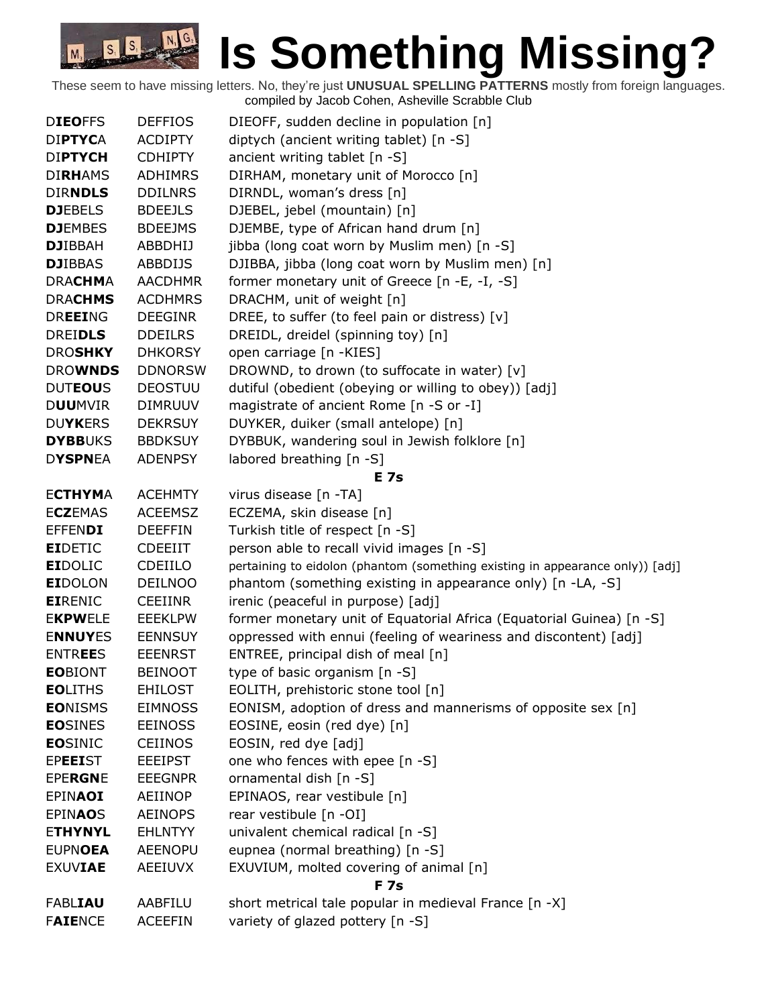| <b>DIEOFFS</b> | <b>DEFFIOS</b> | DIEOFF, sudden decline in population [n]                                      |
|----------------|----------------|-------------------------------------------------------------------------------|
| <b>DIPTYCA</b> | <b>ACDIPTY</b> | diptych (ancient writing tablet) [n -S]                                       |
| <b>DIPTYCH</b> | <b>CDHIPTY</b> | ancient writing tablet $[n - S]$                                              |
| <b>DIRHAMS</b> | <b>ADHIMRS</b> | DIRHAM, monetary unit of Morocco [n]                                          |
| <b>DIRNDLS</b> | <b>DDILNRS</b> | DIRNDL, woman's dress [n]                                                     |
| <b>DJEBELS</b> | <b>BDEEJLS</b> | DJEBEL, jebel (mountain) [n]                                                  |
| <b>DJEMBES</b> | <b>BDEEJMS</b> | DJEMBE, type of African hand drum [n]                                         |
| <b>DJIBBAH</b> | ABBDHIJ        | jibba (long coat worn by Muslim men) [n -S]                                   |
| <b>DJIBBAS</b> | <b>ABBDIJS</b> | DJIBBA, jibba (long coat worn by Muslim men) [n]                              |
| <b>DRACHMA</b> | <b>AACDHMR</b> | former monetary unit of Greece [n -E, -I, -S]                                 |
| <b>DRACHMS</b> | <b>ACDHMRS</b> | DRACHM, unit of weight [n]                                                    |
| <b>DREEING</b> | <b>DEEGINR</b> | DREE, to suffer (to feel pain or distress) [v]                                |
| <b>DREIDLS</b> | <b>DDEILRS</b> | DREIDL, dreidel (spinning toy) [n]                                            |
| <b>DROSHKY</b> | <b>DHKORSY</b> | open carriage [n -KIES]                                                       |
| <b>DROWNDS</b> | <b>DDNORSW</b> | DROWND, to drown (to suffocate in water) [v]                                  |
| <b>DUTEOUS</b> | <b>DEOSTUU</b> | dutiful (obedient (obeying or willing to obey)) [adj]                         |
| <b>DUUMVIR</b> | <b>DIMRUUV</b> | magistrate of ancient Rome [n -S or -I]                                       |
| <b>DUYKERS</b> | <b>DEKRSUY</b> | DUYKER, duiker (small antelope) [n]                                           |
| <b>DYBBUKS</b> | <b>BBDKSUY</b> | DYBBUK, wandering soul in Jewish folklore [n]                                 |
| <b>DYSPNEA</b> | <b>ADENPSY</b> | labored breathing [n -S]                                                      |
|                |                | <b>E</b> 7s                                                                   |
| <b>ECTHYMA</b> | <b>ACEHMTY</b> | virus disease [n -TA]                                                         |
| <b>ECZEMAS</b> | <b>ACEEMSZ</b> | ECZEMA, skin disease [n]                                                      |
| <b>EFFENDI</b> | <b>DEEFFIN</b> | Turkish title of respect [n -S]                                               |
| <b>EIDETIC</b> | <b>CDEEIIT</b> | person able to recall vivid images [n -S]                                     |
| <b>EIDOLIC</b> | CDEIILO        | pertaining to eidolon (phantom (something existing in appearance only)) [adj] |
| <b>EIDOLON</b> | <b>DEILNOO</b> | phantom (something existing in appearance only) [n -LA, -S]                   |
| <b>EIRENIC</b> | <b>CEEIINR</b> | irenic (peaceful in purpose) [adj]                                            |
| <b>EKPWELE</b> | <b>EEEKLPW</b> | former monetary unit of Equatorial Africa (Equatorial Guinea) [n -S]          |
| <b>ENNUYES</b> | <b>EENNSUY</b> | oppressed with ennui (feeling of weariness and discontent) [adj]              |
| <b>ENTREES</b> | <b>EEENRST</b> | ENTREE, principal dish of meal [n]                                            |
| <b>EOBIONT</b> | <b>BEINOOT</b> | type of basic organism $[n -S]$                                               |
| <b>EOLITHS</b> | <b>EHILOST</b> | EOLITH, prehistoric stone tool [n]                                            |
| <b>EONISMS</b> | <b>EIMNOSS</b> | EONISM, adoption of dress and mannerisms of opposite sex [n]                  |
| <b>EOSINES</b> | <b>EEINOSS</b> | EOSINE, eosin (red dye) [n]                                                   |
| <b>EOSINIC</b> | <b>CEIINOS</b> | EOSIN, red dye [adj]                                                          |
| <b>EPEEIST</b> | <b>EEEIPST</b> | one who fences with epee [n -S]                                               |
| <b>EPERGNE</b> | <b>EEEGNPR</b> | ornamental dish [n -S]                                                        |
| <b>EPINAOI</b> | AEIINOP        | EPINAOS, rear vestibule [n]                                                   |
| <b>EPINAOS</b> | <b>AEINOPS</b> | rear vestibule [n -OI]                                                        |
| <b>ETHYNYL</b> | <b>EHLNTYY</b> | univalent chemical radical [n -S]                                             |
| <b>EUPNOEA</b> | <b>AEENOPU</b> | eupnea (normal breathing) [n -S]                                              |
| <b>EXUVIAE</b> | <b>AEEIUVX</b> | EXUVIUM, molted covering of animal [n]                                        |
|                |                | <b>F7s</b>                                                                    |
| <b>FABLIAU</b> | AABFILU        | short metrical tale popular in medieval France [n -X]                         |
| <b>FAIENCE</b> | <b>ACEEFIN</b> | variety of glazed pottery [n -S]                                              |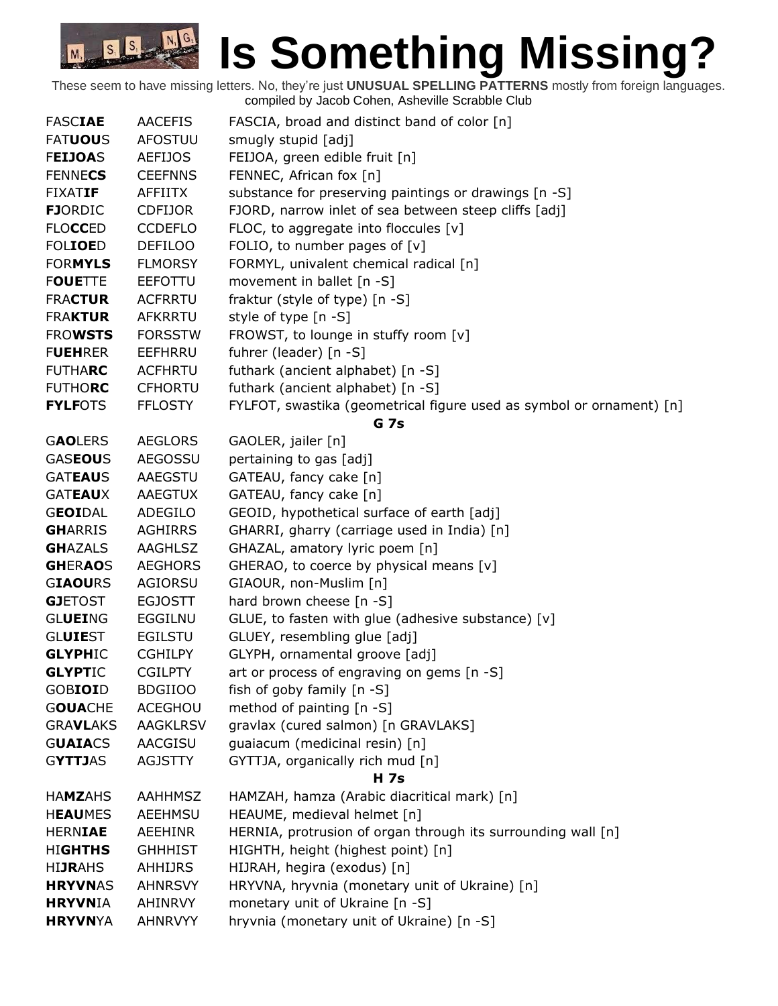| <b>FASCIAE</b>  | <b>AACEFIS</b>  | FASCIA, broad and distinct band of color [n]                         |
|-----------------|-----------------|----------------------------------------------------------------------|
| <b>FATUOUS</b>  | <b>AFOSTUU</b>  | smugly stupid [adj]                                                  |
| <b>FEIJOAS</b>  | <b>AEFIJOS</b>  | FEIJOA, green edible fruit [n]                                       |
| <b>FENNECS</b>  | <b>CEEFNNS</b>  | FENNEC, African fox [n]                                              |
| <b>FIXATIF</b>  | <b>AFFIITX</b>  | substance for preserving paintings or drawings [n -S]                |
| <b>FJORDIC</b>  | <b>CDFIJOR</b>  | FJORD, narrow inlet of sea between steep cliffs [adj]                |
| <b>FLOCCED</b>  | <b>CCDEFLO</b>  | FLOC, to aggregate into floccules $[v]$                              |
| <b>FOLIOED</b>  | <b>DEFILOO</b>  | FOLIO, to number pages of $[v]$                                      |
| <b>FORMYLS</b>  | <b>FLMORSY</b>  | FORMYL, univalent chemical radical [n]                               |
| <b>FOUETTE</b>  | <b>EEFOTTU</b>  | movement in ballet $[n - S]$                                         |
| <b>FRACTUR</b>  | <b>ACFRRTU</b>  | fraktur (style of type) [n -S]                                       |
| <b>FRAKTUR</b>  | <b>AFKRRTU</b>  | style of type [n -S]                                                 |
| <b>FROWSTS</b>  | <b>FORSSTW</b>  | FROWST, to lounge in stuffy room [v]                                 |
| <b>FUEHRER</b>  | EEFHRRU         | fuhrer (leader) [n -S]                                               |
| <b>FUTHARC</b>  | <b>ACFHRTU</b>  | futhark (ancient alphabet) [n -S]                                    |
| <b>FUTHORC</b>  | <b>CFHORTU</b>  | futhark (ancient alphabet) [n -S]                                    |
| <b>FYLFOTS</b>  | <b>FFLOSTY</b>  | FYLFOT, swastika (geometrical figure used as symbol or ornament) [n] |
|                 |                 | G <sub>7s</sub>                                                      |
| <b>GAOLERS</b>  | <b>AEGLORS</b>  | GAOLER, jailer [n]                                                   |
| <b>GASEOUS</b>  | <b>AEGOSSU</b>  | pertaining to gas [adj]                                              |
| <b>GATEAUS</b>  | AAEGSTU         | GATEAU, fancy cake [n]                                               |
| <b>GATEAUX</b>  | AAEGTUX         | GATEAU, fancy cake [n]                                               |
| <b>GEOIDAL</b>  | ADEGILO         | GEOID, hypothetical surface of earth [adj]                           |
| <b>GHARRIS</b>  | <b>AGHIRRS</b>  | GHARRI, gharry (carriage used in India) [n]                          |
| <b>GHAZALS</b>  | <b>AAGHLSZ</b>  | GHAZAL, amatory lyric poem [n]                                       |
| <b>GHERAOS</b>  | <b>AEGHORS</b>  | GHERAO, to coerce by physical means [v]                              |
| <b>GIAOURS</b>  | AGIORSU         | GIAOUR, non-Muslim [n]                                               |
| <b>GJETOST</b>  | <b>EGJOSTT</b>  | hard brown cheese $[n - S]$                                          |
| <b>GLUEING</b>  | EGGILNU         | GLUE, to fasten with glue (adhesive substance) [v]                   |
| <b>GLUIEST</b>  | <b>EGILSTU</b>  | GLUEY, resembling glue [adj]                                         |
| <b>GLYPHIC</b>  | <b>CGHILPY</b>  | GLYPH, ornamental groove [adj]                                       |
| <b>GLYPTIC</b>  | <b>CGILPTY</b>  | art or process of engraving on gems [n -S]                           |
| GOBIOID         | <b>BDGIIOO</b>  | fish of goby family $[n - S]$                                        |
| <b>GOUACHE</b>  | <b>ACEGHOU</b>  | method of painting [n -S]                                            |
| <b>GRAVLAKS</b> | <b>AAGKLRSV</b> | gravlax (cured salmon) [n GRAVLAKS]                                  |
| <b>GUAIACS</b>  | AACGISU         | guaiacum (medicinal resin) [n]                                       |
| <b>GYTTJAS</b>  | <b>AGJSTTY</b>  | GYTTJA, organically rich mud [n]                                     |
|                 |                 | <b>H</b> 7s                                                          |
| <b>HAMZAHS</b>  | <b>AAHHMSZ</b>  | HAMZAH, hamza (Arabic diacritical mark) [n]                          |
| <b>HEAUMES</b>  | AEEHMSU         | HEAUME, medieval helmet [n]                                          |
| <b>HERNIAE</b>  | <b>AEEHINR</b>  | HERNIA, protrusion of organ through its surrounding wall [n]         |
| <b>HIGHTHS</b>  | <b>GHHHIST</b>  | HIGHTH, height (highest point) [n]                                   |
| <b>HIJRAHS</b>  | AHHIJRS         | HIJRAH, hegira (exodus) [n]                                          |
| <b>HRYVNAS</b>  | <b>AHNRSVY</b>  | HRYVNA, hryvnia (monetary unit of Ukraine) [n]                       |
| <b>HRYVNIA</b>  | AHINRVY         | monetary unit of Ukraine [n -S]                                      |
| <b>HRYVNYA</b>  | <b>AHNRVYY</b>  | hryvnia (monetary unit of Ukraine) [n -S]                            |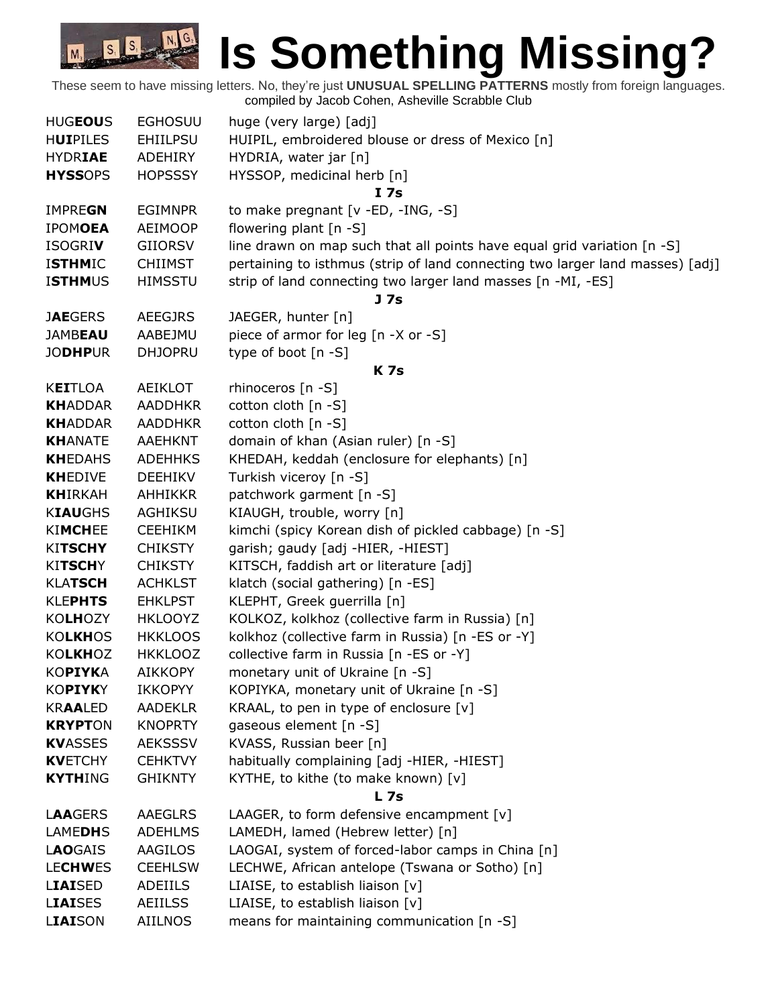## **Is Something Missing?**  $S_1$   $S_2$   $N_1$

These seem to have missing letters. No, they're just **UNUSUAL SPELLING PATTERNS** mostly from foreign languages. compiled by Jacob Cohen, Asheville Scrabble Club

M<sub>3</sub>

| <b>HUGEOUS</b>  | <b>EGHOSUU</b>  | huge (very large) [adj]                                                       |
|-----------------|-----------------|-------------------------------------------------------------------------------|
| <b>HUIPILES</b> | <b>EHIILPSU</b> | HUIPIL, embroidered blouse or dress of Mexico [n]                             |
| <b>HYDRIAE</b>  | ADEHIRY         | HYDRIA, water jar [n]                                                         |
| <b>HYSSOPS</b>  | <b>HOPSSSY</b>  | HYSSOP, medicinal herb [n]                                                    |
|                 |                 | I 7s                                                                          |
| <b>IMPREGN</b>  | <b>EGIMNPR</b>  | to make pregnant [v -ED, -ING, -S]                                            |
| <b>IPOMOEA</b>  | AEIMOOP         | flowering plant [n -S]                                                        |
| <b>ISOGRIV</b>  | <b>GIIORSV</b>  | line drawn on map such that all points have equal grid variation [n -S]       |
| <b>ISTHMIC</b>  | <b>CHIIMST</b>  | pertaining to isthmus (strip of land connecting two larger land masses) [adj] |
| <b>ISTHMUS</b>  | <b>HIMSSTU</b>  | strip of land connecting two larger land masses [n -MI, -ES]                  |
|                 |                 | J <sub>7s</sub>                                                               |
| <b>JAEGERS</b>  | <b>AEEGJRS</b>  | JAEGER, hunter [n]                                                            |
| <b>JAMBEAU</b>  | AABEJMU         | piece of armor for leg [n -X or -S]                                           |
| <b>JODHPUR</b>  | <b>DHJOPRU</b>  | type of boot [n -S]                                                           |
|                 |                 | <b>K7s</b>                                                                    |
| <b>KEITLOA</b>  | AEIKLOT         | rhinoceros $[n -S]$                                                           |
| <b>KHADDAR</b>  | <b>AADDHKR</b>  | cotton cloth [n -S]                                                           |
| <b>KHADDAR</b>  | <b>AADDHKR</b>  | cotton cloth [n -S]                                                           |
| <b>KHANATE</b>  | <b>AAEHKNT</b>  | domain of khan (Asian ruler) [n -S]                                           |
| <b>KHEDAHS</b>  | <b>ADEHHKS</b>  | KHEDAH, keddah (enclosure for elephants) [n]                                  |
| <b>KHEDIVE</b>  | <b>DEEHIKV</b>  | Turkish viceroy [n -S]                                                        |
| <b>KHIRKAH</b>  | <b>AHHIKKR</b>  | patchwork garment [n -S]                                                      |
| <b>KIAUGHS</b>  | AGHIKSU         | KIAUGH, trouble, worry [n]                                                    |
| <b>KIMCHEE</b>  | <b>CEEHIKM</b>  | kimchi (spicy Korean dish of pickled cabbage) [n -S]                          |
| <b>KITSCHY</b>  | <b>CHIKSTY</b>  | garish; gaudy [adj -HIER, -HIEST]                                             |
| <b>KITSCHY</b>  | <b>CHIKSTY</b>  | KITSCH, faddish art or literature [adj]                                       |
| <b>KLATSCH</b>  | <b>ACHKLST</b>  | klatch (social gathering) [n -ES]                                             |
| <b>KLEPHTS</b>  | <b>EHKLPST</b>  | KLEPHT, Greek guerrilla [n]                                                   |
| <b>KOLHOZY</b>  | <b>HKLOOYZ</b>  | KOLKOZ, kolkhoz (collective farm in Russia) [n]                               |
| <b>KOLKHOS</b>  | <b>HKKLOOS</b>  | kolkhoz (collective farm in Russia) [n -ES or -Y]                             |
| <b>KOLKHOZ</b>  | <b>HKKLOOZ</b>  | collective farm in Russia [n -ES or -Y]                                       |
| KOPIYKA         | <b>AIKKOPY</b>  | monetary unit of Ukraine [n -S]                                               |
| KOPIYKY         | <b>IKKOPYY</b>  | KOPIYKA, monetary unit of Ukraine [n -S]                                      |
| <b>KRAALED</b>  | <b>AADEKLR</b>  | KRAAL, to pen in type of enclosure [v]                                        |
| <b>KRYPTON</b>  | <b>KNOPRTY</b>  | gaseous element [n -S]                                                        |
| <b>KVASSES</b>  | <b>AEKSSSV</b>  | KVASS, Russian beer [n]                                                       |
| <b>KVETCHY</b>  | <b>CEHKTVY</b>  | habitually complaining [adj -HIER, -HIEST]                                    |
| <b>KYTHING</b>  | <b>GHIKNTY</b>  | KYTHE, to kithe (to make known) [v]                                           |
|                 |                 | L <sub>7s</sub>                                                               |
| <b>LAAGERS</b>  | AAEGLRS         | LAAGER, to form defensive encampment $[v]$                                    |
| <b>LAMEDHS</b>  | <b>ADEHLMS</b>  | LAMEDH, lamed (Hebrew letter) [n]                                             |
| <b>LAOGAIS</b>  | AAGILOS         | LAOGAI, system of forced-labor camps in China [n]                             |
| <b>LECHWES</b>  | <b>CEEHLSW</b>  | LECHWE, African antelope (Tswana or Sotho) [n]                                |
| <b>LIAISED</b>  | ADEIILS         | LIAISE, to establish liaison [v]                                              |
| <b>LIAISES</b>  | <b>AEIILSS</b>  | LIAISE, to establish liaison [v]                                              |
| LIAISON         | AIILNOS         | means for maintaining communication [n -S]                                    |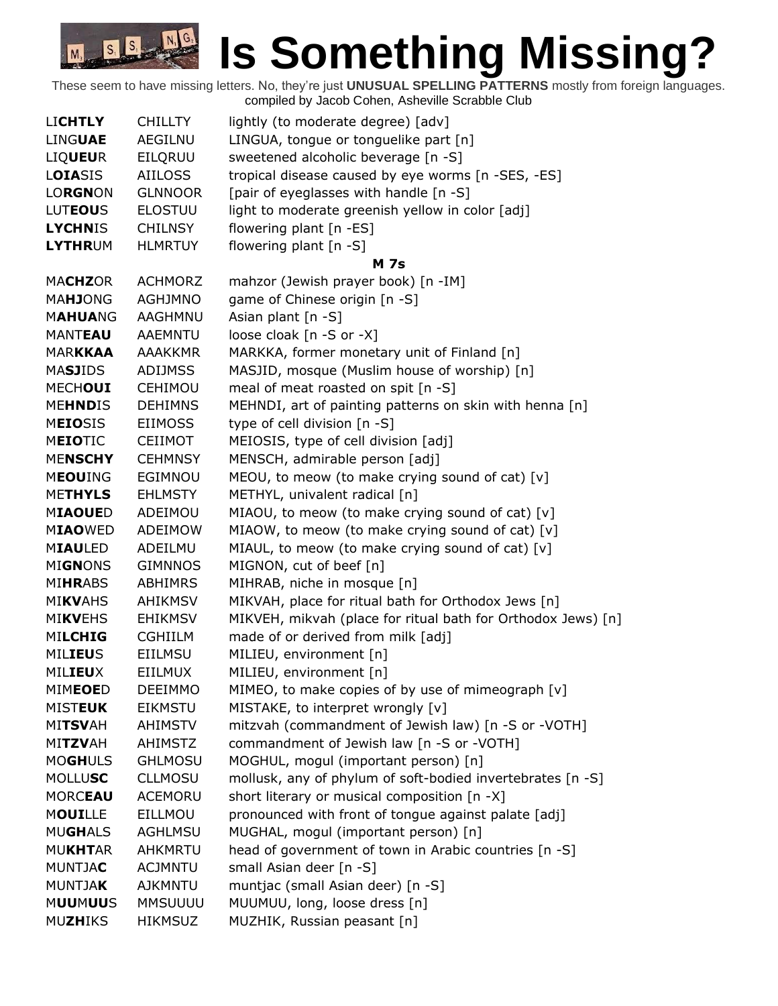| <b>LICHTLY</b> | <b>CHILLTY</b> | lightly (to moderate degree) [adv]                           |
|----------------|----------------|--------------------------------------------------------------|
| <b>LINGUAE</b> | <b>AEGILNU</b> | LINGUA, tongue or tonguelike part [n]                        |
| <b>LIQUEUR</b> | EILQRUU        | sweetened alcoholic beverage [n -S]                          |
| LOIASIS        | <b>AIILOSS</b> | tropical disease caused by eye worms [n -SES, -ES]           |
| <b>LORGNON</b> | <b>GLNNOOR</b> | [pair of eyeglasses with handle [n -S]                       |
| <b>LUTEOUS</b> | <b>ELOSTUU</b> | light to moderate greenish yellow in color [adj]             |
| <b>LYCHNIS</b> | <b>CHILNSY</b> | flowering plant [n -ES]                                      |
| <b>LYTHRUM</b> | <b>HLMRTUY</b> | flowering plant $[n - S]$                                    |
|                |                | <b>M</b> 7s                                                  |
| <b>MACHZOR</b> | <b>ACHMORZ</b> | mahzor (Jewish prayer book) [n -IM]                          |
| <b>MAHJONG</b> | <b>AGHJMNO</b> | game of Chinese origin [n -S]                                |
| <b>MAHUANG</b> | AAGHMNU        | Asian plant [n -S]                                           |
| <b>MANTEAU</b> | <b>AAEMNTU</b> | loose cloak [n -S or -X]                                     |
| <b>MARKKAA</b> | <b>AAAKKMR</b> | MARKKA, former monetary unit of Finland [n]                  |
| <b>MASJIDS</b> | <b>ADIJMSS</b> | MASJID, mosque (Muslim house of worship) [n]                 |
| <b>MECHOUI</b> | <b>CEHIMOU</b> | meal of meat roasted on spit [n -S]                          |
| <b>MEHNDIS</b> | <b>DEHIMNS</b> | MEHNDI, art of painting patterns on skin with henna [n]      |
| <b>MEIOSIS</b> | <b>EIIMOSS</b> | type of cell division [n -S]                                 |
| <b>MEIOTIC</b> | <b>CEIIMOT</b> | MEIOSIS, type of cell division [adj]                         |
| <b>MENSCHY</b> | <b>CEHMNSY</b> | MENSCH, admirable person [adj]                               |
| <b>MEOUING</b> | EGIMNOU        | MEOU, to meow (to make crying sound of cat) $[v]$            |
| <b>METHYLS</b> | <b>EHLMSTY</b> | METHYL, univalent radical [n]                                |
| <b>MIAOUED</b> | ADEIMOU        | MIAOU, to meow (to make crying sound of cat) [v]             |
| <b>MIAOWED</b> | ADEIMOW        | MIAOW, to meow (to make crying sound of cat) [v]             |
| <b>MIAULED</b> | ADEILMU        | MIAUL, to meow (to make crying sound of cat) [v]             |
| <b>MIGNONS</b> | <b>GIMNNOS</b> | MIGNON, cut of beef [n]                                      |
| <b>MIHRABS</b> | <b>ABHIMRS</b> | MIHRAB, niche in mosque [n]                                  |
| <b>MIKVAHS</b> | <b>AHIKMSV</b> | MIKVAH, place for ritual bath for Orthodox Jews [n]          |
| <b>MIKVEHS</b> | <b>EHIKMSV</b> | MIKVEH, mikvah (place for ritual bath for Orthodox Jews) [n] |
| <b>MILCHIG</b> | <b>CGHIILM</b> | made of or derived from milk [adj]                           |
| <b>MILIEUS</b> | <b>EIILMSU</b> | MILIEU, environment [n]                                      |
| <b>MILIEUX</b> | <b>EIILMUX</b> | MILIEU, environment [n]                                      |
| <b>MIMEOED</b> | <b>DEEIMMO</b> | MIMEO, to make copies of by use of mimeograph [v]            |
| <b>MISTEUK</b> | <b>EIKMSTU</b> | MISTAKE, to interpret wrongly [v]                            |
| <b>MITSVAH</b> | <b>AHIMSTV</b> | mitzvah (commandment of Jewish law) [n -S or -VOTH]          |
| <b>MITZVAH</b> | <b>AHIMSTZ</b> | commandment of Jewish law [n -S or -VOTH]                    |
| <b>MOGHULS</b> | <b>GHLMOSU</b> | MOGHUL, mogul (important person) [n]                         |
| <b>MOLLUSC</b> | <b>CLLMOSU</b> | mollusk, any of phylum of soft-bodied invertebrates [n -S]   |
| <b>MORCEAU</b> | <b>ACEMORU</b> | short literary or musical composition [n -X]                 |
| <b>MOUILLE</b> | EILLMOU        | pronounced with front of tongue against palate [adj]         |
| <b>MUGHALS</b> | <b>AGHLMSU</b> | MUGHAL, mogul (important person) [n]                         |
| <b>MUKHTAR</b> | <b>AHKMRTU</b> | head of government of town in Arabic countries [n -S]        |
| <b>MUNTJAC</b> | <b>ACJMNTU</b> | small Asian deer [n -S]                                      |
| <b>MUNTJAK</b> | <b>AJKMNTU</b> | muntjac (small Asian deer) [n -S]                            |
| <b>MUUMUUS</b> | <b>MMSUUUU</b> | MUUMUU, long, loose dress [n]                                |
| <b>MUZHIKS</b> | <b>HIKMSUZ</b> | MUZHIK, Russian peasant [n]                                  |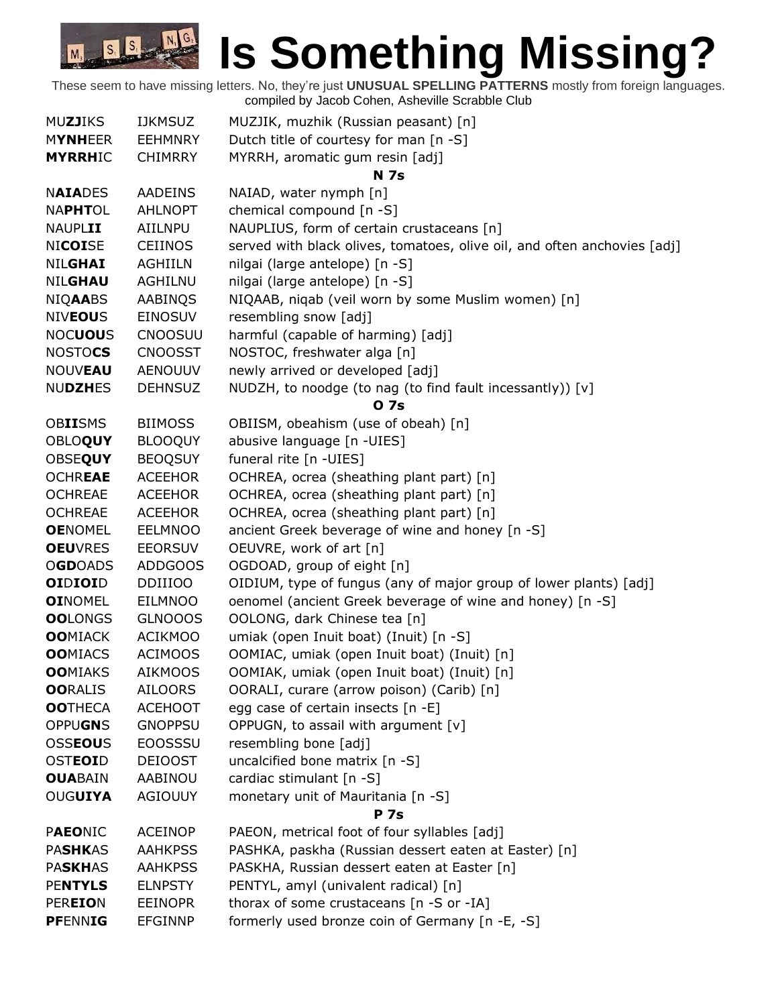| <b>MUZJIKS</b> | <b>IJKMSUZ</b> | MUZJIK, muzhik (Russian peasant) [n]                                     |
|----------------|----------------|--------------------------------------------------------------------------|
| <b>MYNHEER</b> | <b>EEHMNRY</b> | Dutch title of courtesy for man [n -S]                                   |
| <b>MYRRHIC</b> | <b>CHIMRRY</b> | MYRRH, aromatic gum resin [adj]                                          |
|                |                | <b>N 7s</b>                                                              |
| <b>NAIADES</b> | <b>AADEINS</b> | NAIAD, water nymph [n]                                                   |
| <b>NAPHTOL</b> | <b>AHLNOPT</b> | chemical compound [n -S]                                                 |
| <b>NAUPLII</b> | AIILNPU        | NAUPLIUS, form of certain crustaceans [n]                                |
| <b>NICOISE</b> | <b>CEIINOS</b> | served with black olives, tomatoes, olive oil, and often anchovies [adj] |
| <b>NILGHAI</b> | <b>AGHIILN</b> | nilgai (large antelope) [n -S]                                           |
| <b>NILGHAU</b> | <b>AGHILNU</b> | nilgai (large antelope) [n -S]                                           |
| <b>NIQAABS</b> | AABINQS        | NIQAAB, niqab (veil worn by some Muslim women) [n]                       |
| <b>NIVEOUS</b> | <b>EINOSUV</b> | resembling snow [adj]                                                    |
| <b>NOCUOUS</b> | <b>CNOOSUU</b> | harmful (capable of harming) [adj]                                       |
| <b>NOSTOCS</b> | <b>CNOOSST</b> | NOSTOC, freshwater alga [n]                                              |
| <b>NOUVEAU</b> | <b>AENOUUV</b> | newly arrived or developed [adj]                                         |
| <b>NUDZHES</b> | <b>DEHNSUZ</b> | NUDZH, to noodge (to nag (to find fault incessantly)) [v]                |
|                |                | <b>07s</b>                                                               |
| <b>OBIISMS</b> | <b>BIIMOSS</b> | OBIISM, obeahism (use of obeah) [n]                                      |
| <b>OBLOQUY</b> | <b>BLOOQUY</b> | abusive language [n -UIES]                                               |
| <b>OBSEQUY</b> | <b>BEOQSUY</b> | funeral rite [n -UIES]                                                   |
| <b>OCHREAE</b> | <b>ACEEHOR</b> | OCHREA, ocrea (sheathing plant part) [n]                                 |
| <b>OCHREAE</b> | <b>ACEEHOR</b> | OCHREA, ocrea (sheathing plant part) [n]                                 |
| <b>OCHREAE</b> | <b>ACEEHOR</b> | OCHREA, ocrea (sheathing plant part) [n]                                 |
| <b>OENOMEL</b> | <b>EELMNOO</b> | ancient Greek beverage of wine and honey [n -S]                          |
| <b>OEUVRES</b> | <b>EEORSUV</b> | OEUVRE, work of art [n]                                                  |
| <b>OGDOADS</b> | ADDGOOS        | OGDOAD, group of eight [n]                                               |
| <b>OIDIOID</b> | <b>DDIIIOO</b> | OIDIUM, type of fungus (any of major group of lower plants) [adj]        |
| <b>OINOMEL</b> | EILMNOO        | oenomel (ancient Greek beverage of wine and honey) [n -S]                |
| <b>OOLONGS</b> | <b>GLNOOOS</b> | OOLONG, dark Chinese tea [n]                                             |
| <b>OOMIACK</b> | <b>ACIKMOO</b> | umiak (open Inuit boat) (Inuit) [n -S]                                   |
| <b>OOMIACS</b> | <b>ACIMOOS</b> | OOMIAC, umiak (open Inuit boat) (Inuit) [n]                              |
| <b>OOMIAKS</b> | <b>AIKMOOS</b> | OOMIAK, umiak (open Inuit boat) (Inuit) [n]                              |
| <b>OORALIS</b> | <b>AILOORS</b> | OORALI, curare (arrow poison) (Carib) [n]                                |
| <b>OOTHECA</b> | <b>ACEHOOT</b> | egg case of certain insects [n -E]                                       |
| <b>OPPUGNS</b> | <b>GNOPPSU</b> | OPPUGN, to assail with argument [v]                                      |
| <b>OSSEOUS</b> | <b>EOOSSSU</b> | resembling bone [adj]                                                    |
| <b>OSTEOID</b> | DEIOOST        | uncalcified bone matrix [n -S]                                           |
| <b>OUABAIN</b> | AABINOU        | cardiac stimulant [n -S]                                                 |
| OUGUIYA        | AGIOUUY        | monetary unit of Mauritania [n -S]                                       |
|                |                | <b>P</b> 7s                                                              |
| <b>PAEONIC</b> | <b>ACEINOP</b> | PAEON, metrical foot of four syllables [adj]                             |
| <b>PASHKAS</b> | <b>AAHKPSS</b> | PASHKA, paskha (Russian dessert eaten at Easter) [n]                     |
| <b>PASKHAS</b> | <b>AAHKPSS</b> | PASKHA, Russian dessert eaten at Easter [n]                              |
| <b>PENTYLS</b> | <b>ELNPSTY</b> | PENTYL, amyl (univalent radical) [n]                                     |
| <b>PEREION</b> | <b>EEINOPR</b> | thorax of some crustaceans [n -S or -IA]                                 |
| <b>PFENNIG</b> | <b>EFGINNP</b> | formerly used bronze coin of Germany [n -E, -S]                          |
|                |                |                                                                          |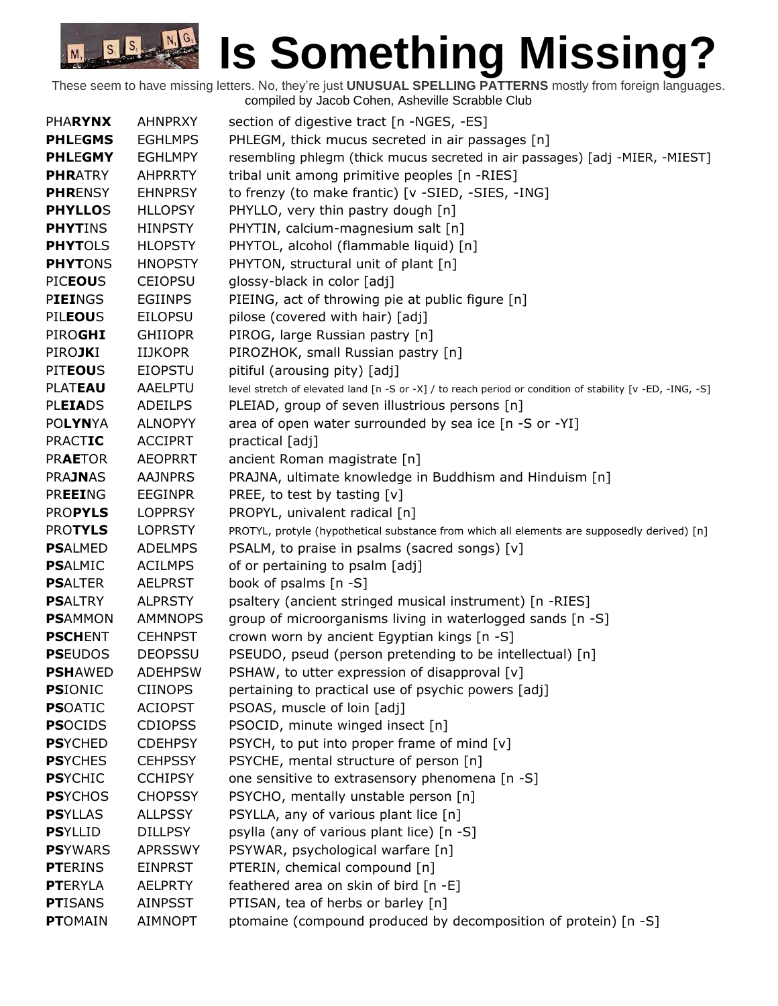| <b>PHARYNX</b>  | <b>AHNPRXY</b> | section of digestive tract [n -NGES, -ES]                                                                 |
|-----------------|----------------|-----------------------------------------------------------------------------------------------------------|
| <b>PHLEGMS</b>  | <b>EGHLMPS</b> | PHLEGM, thick mucus secreted in air passages [n]                                                          |
| <b>PHLEGMY</b>  | <b>EGHLMPY</b> | resembling phlegm (thick mucus secreted in air passages) [adj -MIER, -MIEST]                              |
| <b>PHRATRY</b>  | <b>AHPRRTY</b> | tribal unit among primitive peoples [n -RIES]                                                             |
| <b>PHRENSY</b>  | <b>EHNPRSY</b> | to frenzy (to make frantic) [v -SIED, -SIES, -ING]                                                        |
| <b>PHYLLOS</b>  | <b>HLLOPSY</b> | PHYLLO, very thin pastry dough [n]                                                                        |
| <b>PHYTINS</b>  | <b>HINPSTY</b> | PHYTIN, calcium-magnesium salt [n]                                                                        |
| <b>PHYTOLS</b>  | <b>HLOPSTY</b> | PHYTOL, alcohol (flammable liquid) [n]                                                                    |
| <b>PHYTONS</b>  | <b>HNOPSTY</b> | PHYTON, structural unit of plant [n]                                                                      |
| <b>PICEOUS</b>  | <b>CEIOPSU</b> | glossy-black in color [adj]                                                                               |
| <b>PIEINGS</b>  | <b>EGIINPS</b> | PIEING, act of throwing pie at public figure [n]                                                          |
| <b>PILEOUS</b>  | <b>EILOPSU</b> | pilose (covered with hair) [adj]                                                                          |
| PIROGHI         | <b>GHIIOPR</b> | PIROG, large Russian pastry [n]                                                                           |
| <b>PIROJKI</b>  | <b>IIJKOPR</b> | PIROZHOK, small Russian pastry [n]                                                                        |
| <b>PITEOUS</b>  | <b>EIOPSTU</b> | pitiful (arousing pity) [adj]                                                                             |
| <b>PLATEAU</b>  | AAELPTU        | level stretch of elevated land [n -S or -X] / to reach period or condition of stability [v -ED, -ING, -S] |
| <b>PLEIADS</b>  | <b>ADEILPS</b> | PLEIAD, group of seven illustrious persons [n]                                                            |
| <b>POLYNYA</b>  | <b>ALNOPYY</b> | area of open water surrounded by sea ice [n -S or -YI]                                                    |
| <b>PRACTIC</b>  | <b>ACCIPRT</b> | practical [adj]                                                                                           |
| <b>PRAETOR</b>  | <b>AEOPRRT</b> | ancient Roman magistrate [n]                                                                              |
| <b>PRAJNAS</b>  | <b>AAJNPRS</b> | PRAJNA, ultimate knowledge in Buddhism and Hinduism [n]                                                   |
| <b>PREEING</b>  | <b>EEGINPR</b> | PREE, to test by tasting $[v]$                                                                            |
| <b>PROPYLS</b>  | <b>LOPPRSY</b> | PROPYL, univalent radical [n]                                                                             |
| <b>PROTYLS</b>  | <b>LOPRSTY</b> | PROTYL, protyle (hypothetical substance from which all elements are supposedly derived) [n]               |
| <b>PSALMED</b>  | <b>ADELMPS</b> | PSALM, to praise in psalms (sacred songs) [v]                                                             |
| <b>PSALMIC</b>  | <b>ACILMPS</b> | of or pertaining to psalm [adj]                                                                           |
| <b>PSALTER</b>  | <b>AELPRST</b> | book of psalms [n -S]                                                                                     |
| <b>PSALTRY</b>  | <b>ALPRSTY</b> | psaltery (ancient stringed musical instrument) [n -RIES]                                                  |
| <b>PSAMMON</b>  | <b>AMMNOPS</b> | group of microorganisms living in waterlogged sands [n -S]                                                |
| <b>PSCHENT</b>  | <b>CEHNPST</b> | crown worn by ancient Egyptian kings [n -S]                                                               |
| <b>PSEUDOS</b>  | <b>DEOPSSU</b> | PSEUDO, pseud (person pretending to be intellectual) [n]                                                  |
| <b>PSHAWED</b>  | <b>ADEHPSW</b> | PSHAW, to utter expression of disapproval [v]                                                             |
| <b>PSIONIC</b>  | <b>CIINOPS</b> | pertaining to practical use of psychic powers [adj]                                                       |
| <b>PSOATIC</b>  | <b>ACIOPST</b> | PSOAS, muscle of loin [adj]                                                                               |
| <b>PSOCIDS</b>  | <b>CDIOPSS</b> | PSOCID, minute winged insect [n]                                                                          |
| <b>PSYCHED</b>  | <b>CDEHPSY</b> | PSYCH, to put into proper frame of mind [v]                                                               |
| <b>PSYCHES</b>  | <b>CEHPSSY</b> | PSYCHE, mental structure of person [n]                                                                    |
| <b>PSYCHIC</b>  | <b>CCHIPSY</b> | one sensitive to extrasensory phenomena [n -S]                                                            |
| <b>PSYCHOS</b>  | <b>CHOPSSY</b> | PSYCHO, mentally unstable person [n]                                                                      |
| <b>PSYLLAS</b>  | <b>ALLPSSY</b> | PSYLLA, any of various plant lice [n]                                                                     |
| <b>PSYLLID</b>  | <b>DILLPSY</b> | psylla (any of various plant lice) [n -S]                                                                 |
| <b>PSYWARS</b>  | <b>APRSSWY</b> | PSYWAR, psychological warfare [n]                                                                         |
| <b>PTERINS</b>  | <b>EINPRST</b> | PTERIN, chemical compound [n]                                                                             |
| <b>PTERYLA</b>  | <b>AELPRTY</b> | feathered area on skin of bird $[n -E]$                                                                   |
| <b>PT</b> ISANS | <b>AINPSST</b> | PTISAN, tea of herbs or barley [n]                                                                        |
| <b>PTOMAIN</b>  | <b>AIMNOPT</b> | ptomaine (compound produced by decomposition of protein) [n -S]                                           |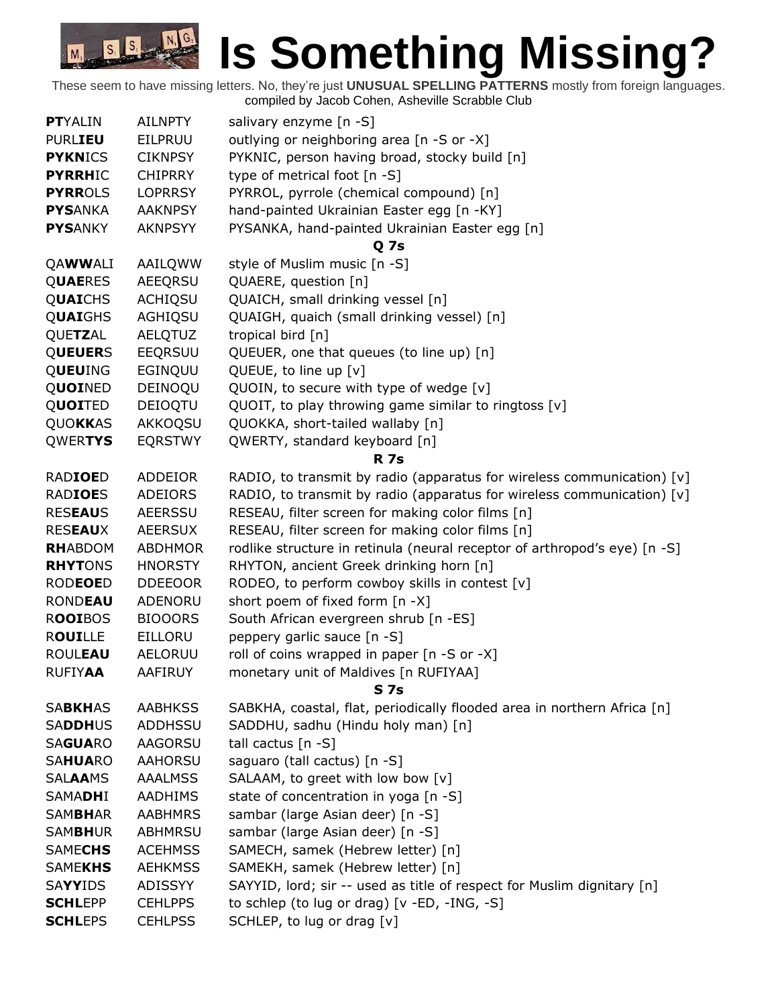| <b>PTYALIN</b>                   | <b>AILNPTY</b>            | salivary enzyme [n -S]                                                     |
|----------------------------------|---------------------------|----------------------------------------------------------------------------|
| <b>PURLIEU</b>                   | EILPRUU                   | outlying or neighboring area [n -S or -X]                                  |
| <b>PYKNICS</b>                   | <b>CIKNPSY</b>            | PYKNIC, person having broad, stocky build [n]                              |
| <b>PYRRHIC</b>                   | <b>CHIPRRY</b>            | type of metrical foot [n -S]                                               |
| <b>PYRROLS</b>                   | <b>LOPRRSY</b>            | PYRROL, pyrrole (chemical compound) [n]                                    |
| <b>PYSANKA</b>                   | <b>AAKNPSY</b>            | hand-painted Ukrainian Easter egg [n -KY]                                  |
| <b>PYSANKY</b>                   | <b>AKNPSYY</b>            | PYSANKA, hand-painted Ukrainian Easter egg [n]                             |
|                                  |                           | <b>Q</b> 7s                                                                |
| QAWWALI                          | AAILQWW                   | style of Muslim music [n -S]                                               |
| <b>QUAERES</b>                   | <b>AEEQRSU</b>            | QUAERE, question [n]                                                       |
| QUAICHS                          | <b>ACHIQSU</b>            | QUAICH, small drinking vessel [n]                                          |
| QUAIGHS                          | AGHIQSU                   | QUAIGH, quaich (small drinking vessel) [n]                                 |
| QUETZAL                          | <b>AELQTUZ</b>            | tropical bird [n]                                                          |
| <b>QUEUERS</b>                   | EEQRSUU                   | QUEUER, one that queues (to line up) [n]                                   |
| QUEUING                          | EGINQUU                   | QUEUE, to line up [v]                                                      |
| QUOINED                          | DEINOQU                   | QUOIN, to secure with type of wedge [v]                                    |
| QUOITED                          | DEIOQTU                   | QUOIT, to play throwing game similar to ringtoss [v]                       |
| QUOKKAS                          | AKKOQSU                   | QUOKKA, short-tailed wallaby [n]                                           |
| QWERTYS                          | <b>EQRSTWY</b>            | QWERTY, standard keyboard [n]                                              |
|                                  |                           | <b>R</b> 7s                                                                |
| <b>RADIOED</b>                   | ADDEIOR                   | RADIO, to transmit by radio (apparatus for wireless communication) [v]     |
| <b>RADIOES</b>                   | <b>ADEIORS</b>            | RADIO, to transmit by radio (apparatus for wireless communication) [v]     |
| <b>RESEAUS</b>                   | <b>AEERSSU</b>            | RESEAU, filter screen for making color films [n]                           |
| <b>RESEAUX</b>                   | <b>AEERSUX</b>            | RESEAU, filter screen for making color films [n]                           |
| <b>RHABDOM</b>                   | <b>ABDHMOR</b>            | rodlike structure in retinula (neural receptor of arthropod's eye) [n -S]  |
| <b>RHYTONS</b>                   | <b>HNORSTY</b>            | RHYTON, ancient Greek drinking horn [n]                                    |
| <b>RODEOED</b>                   | <b>DDEEOOR</b>            | RODEO, to perform cowboy skills in contest [v]                             |
| <b>RONDEAU</b>                   | ADENORU                   | short poem of fixed form [n -X]                                            |
| <b>ROOIBOS</b>                   | <b>BIOOORS</b>            | South African evergreen shrub [n -ES]                                      |
| <b>ROUILLE</b>                   | <b>EILLORU</b>            | peppery garlic sauce [n -S]                                                |
| <b>ROULEAU</b>                   | AELORUU                   | roll of coins wrapped in paper [n -S or -X]                                |
| <b>RUFIYAA</b>                   | AAFIRUY                   | monetary unit of Maldives [n RUFIYAA]                                      |
|                                  |                           | <b>S</b> 7s                                                                |
| <b>SABKHAS</b>                   | <b>AABHKSS</b>            | SABKHA, coastal, flat, periodically flooded area in northern Africa [n]    |
| <b>SADDHUS</b>                   | <b>ADDHSSU</b>            | SADDHU, sadhu (Hindu holy man) [n]                                         |
| <b>SAGUARO</b>                   | AAGORSU                   | tall cactus $[n -S]$                                                       |
| <b>SAHUARO</b>                   | AAHORSU<br><b>AAALMSS</b> | saguaro (tall cactus) [n -S]                                               |
| <b>SALAAMS</b><br><b>SAMADHI</b> | <b>AADHIMS</b>            | SALAAM, to greet with low bow [v]<br>state of concentration in yoga [n -S] |
| <b>SAMBHAR</b>                   | <b>AABHMRS</b>            | sambar (large Asian deer) [n -S]                                           |
| <b>SAMBHUR</b>                   | <b>ABHMRSU</b>            | sambar (large Asian deer) [n -S]                                           |
| <b>SAMECHS</b>                   | <b>ACEHMSS</b>            | SAMECH, samek (Hebrew letter) [n]                                          |
| <b>SAMEKHS</b>                   | <b>AEHKMSS</b>            | SAMEKH, samek (Hebrew letter) [n]                                          |
| SAYYIDS                          | ADISSYY                   | SAYYID, lord; sir -- used as title of respect for Muslim dignitary [n]     |
| <b>SCHLEPP</b>                   | <b>CEHLPPS</b>            | to schlep (to lug or drag) [v -ED, -ING, -S]                               |
| <b>SCHLEPS</b>                   | <b>CEHLPSS</b>            | SCHLEP, to lug or drag [v]                                                 |
|                                  |                           |                                                                            |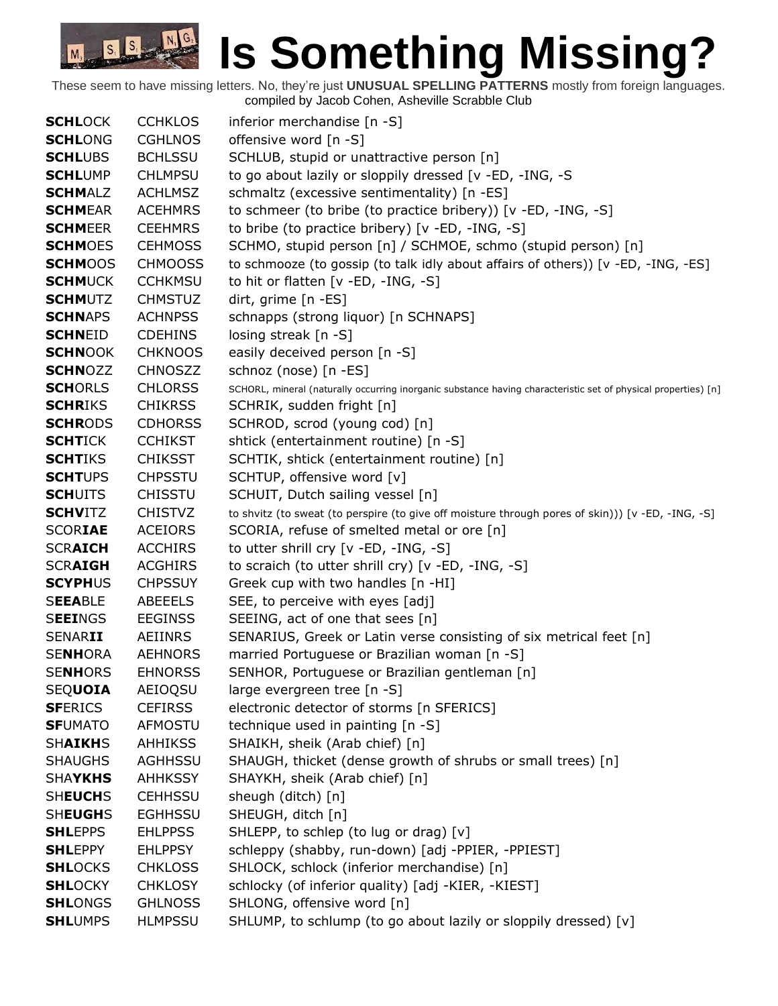| <b>SCHLOCK</b> | <b>CCHKLOS</b> | inferior merchandise [n -S]                                                                                    |
|----------------|----------------|----------------------------------------------------------------------------------------------------------------|
| <b>SCHLONG</b> | <b>CGHLNOS</b> | offensive word [n -S]                                                                                          |
| <b>SCHLUBS</b> | <b>BCHLSSU</b> | SCHLUB, stupid or unattractive person [n]                                                                      |
| <b>SCHLUMP</b> | <b>CHLMPSU</b> | to go about lazily or sloppily dressed [v -ED, -ING, -S                                                        |
| <b>SCHMALZ</b> | <b>ACHLMSZ</b> | schmaltz (excessive sentimentality) [n -ES]                                                                    |
| <b>SCHMEAR</b> | <b>ACEHMRS</b> | to schmeer (to bribe (to practice bribery)) [v -ED, -ING, -S]                                                  |
| <b>SCHMEER</b> | <b>CEEHMRS</b> | to bribe (to practice bribery) [v -ED, -ING, -S]                                                               |
| <b>SCHMOES</b> | <b>CEHMOSS</b> | SCHMO, stupid person [n] / SCHMOE, schmo (stupid person) [n]                                                   |
| <b>SCHMOOS</b> | <b>CHMOOSS</b> | to schmooze (to gossip (to talk idly about affairs of others)) [v -ED, -ING, -ES]                              |
| <b>SCHMUCK</b> | <b>CCHKMSU</b> | to hit or flatten [v -ED, -ING, -S]                                                                            |
| <b>SCHMUTZ</b> | <b>CHMSTUZ</b> | dirt, grime [n -ES]                                                                                            |
| <b>SCHNAPS</b> | <b>ACHNPSS</b> | schnapps (strong liquor) [n SCHNAPS]                                                                           |
| <b>SCHNEID</b> | <b>CDEHINS</b> | losing streak [n -S]                                                                                           |
| <b>SCHNOOK</b> | <b>CHKNOOS</b> | easily deceived person [n -S]                                                                                  |
| <b>SCHNOZZ</b> | <b>CHNOSZZ</b> | schnoz (nose) [n -ES]                                                                                          |
| <b>SCHORLS</b> | <b>CHLORSS</b> | SCHORL, mineral (naturally occurring inorganic substance having characteristic set of physical properties) [n] |
| <b>SCHRIKS</b> | <b>CHIKRSS</b> | SCHRIK, sudden fright [n]                                                                                      |
| <b>SCHRODS</b> | <b>CDHORSS</b> | SCHROD, scrod (young cod) [n]                                                                                  |
| <b>SCHTICK</b> | <b>CCHIKST</b> | shtick (entertainment routine) [n -S]                                                                          |
| <b>SCHTIKS</b> | <b>CHIKSST</b> | SCHTIK, shtick (entertainment routine) [n]                                                                     |
| <b>SCHTUPS</b> | <b>CHPSSTU</b> | SCHTUP, offensive word [v]                                                                                     |
| <b>SCHUITS</b> | <b>CHISSTU</b> | SCHUIT, Dutch sailing vessel [n]                                                                               |
| <b>SCHVITZ</b> | <b>CHISTVZ</b> | to shvitz (to sweat (to perspire (to give off moisture through pores of skin))) [v -ED, -ING, -S]              |
| <b>SCORIAE</b> | <b>ACEIORS</b> | SCORIA, refuse of smelted metal or ore [n]                                                                     |
| <b>SCRAICH</b> | <b>ACCHIRS</b> | to utter shrill cry $[v - ED, -ING, -S]$                                                                       |
| <b>SCRAIGH</b> | <b>ACGHIRS</b> | to scraich (to utter shrill cry) [v -ED, -ING, -S]                                                             |
| <b>SCYPHUS</b> | <b>CHPSSUY</b> | Greek cup with two handles [n -HI]                                                                             |
| <b>SEEABLE</b> | ABEEELS        | SEE, to perceive with eyes [adj]                                                                               |
| <b>SEEINGS</b> | <b>EEGINSS</b> | SEEING, act of one that sees [n]                                                                               |
| <b>SENARII</b> | AEIINRS        | SENARIUS, Greek or Latin verse consisting of six metrical feet [n]                                             |
| <b>SENHORA</b> | <b>AEHNORS</b> | married Portuguese or Brazilian woman [n -S]                                                                   |
| <b>SENHORS</b> | <b>EHNORSS</b> | SENHOR, Portuguese or Brazilian gentleman [n]                                                                  |
| <b>SEQUOIA</b> | AEIOQSU        | large evergreen tree [n -S]                                                                                    |
| <b>SFERICS</b> | <b>CEFIRSS</b> | electronic detector of storms [n SFERICS]                                                                      |
| <b>SFUMATO</b> | AFMOSTU        | technique used in painting [n -S]                                                                              |
| <b>SHAIKHS</b> | <b>AHHIKSS</b> | SHAIKH, sheik (Arab chief) [n]                                                                                 |
| <b>SHAUGHS</b> | <b>AGHHSSU</b> | SHAUGH, thicket (dense growth of shrubs or small trees) [n]                                                    |
| <b>SHAYKHS</b> | <b>AHHKSSY</b> | SHAYKH, sheik (Arab chief) [n]                                                                                 |
| <b>SHEUCHS</b> | <b>CEHHSSU</b> | sheugh (ditch) [n]                                                                                             |
| <b>SHEUGHS</b> | <b>EGHHSSU</b> | SHEUGH, ditch [n]                                                                                              |
| <b>SHLEPPS</b> | <b>EHLPPSS</b> | SHLEPP, to schlep (to lug or drag) [v]                                                                         |
| <b>SHLEPPY</b> | <b>EHLPPSY</b> | schleppy (shabby, run-down) [adj -PPIER, -PPIEST]                                                              |
| <b>SHLOCKS</b> | <b>CHKLOSS</b> | SHLOCK, schlock (inferior merchandise) [n]                                                                     |
| <b>SHLOCKY</b> | <b>CHKLOSY</b> | schlocky (of inferior quality) [adj -KIER, -KIEST]                                                             |
| <b>SHLONGS</b> | <b>GHLNOSS</b> | SHLONG, offensive word [n]                                                                                     |
| <b>SHLUMPS</b> | <b>HLMPSSU</b> | SHLUMP, to schlump (to go about lazily or sloppily dressed) [v]                                                |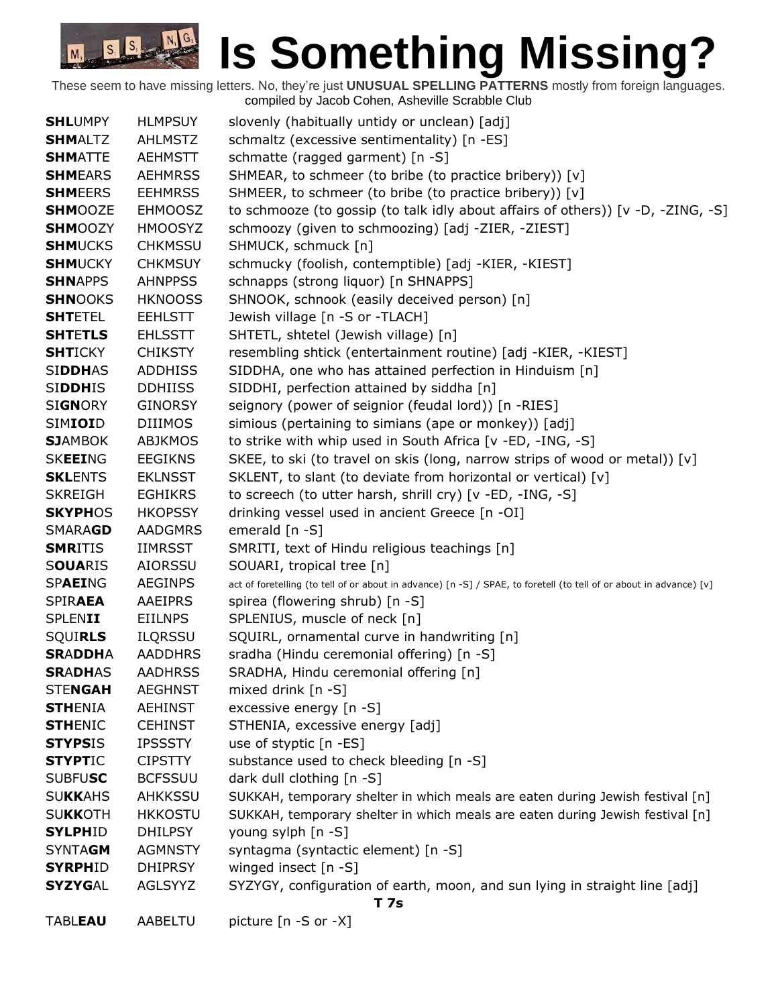| <b>SHLUMPY</b> | <b>HLMPSUY</b> | slovenly (habitually untidy or unclean) [adj]                                                                       |
|----------------|----------------|---------------------------------------------------------------------------------------------------------------------|
| <b>SHMALTZ</b> | <b>AHLMSTZ</b> | schmaltz (excessive sentimentality) [n -ES]                                                                         |
| <b>SHMATTE</b> | <b>AEHMSTT</b> | schmatte (ragged garment) [n -S]                                                                                    |
| <b>SHMEARS</b> | <b>AEHMRSS</b> | SHMEAR, to schmeer (to bribe (to practice bribery)) [v]                                                             |
| <b>SHMEERS</b> | <b>EEHMRSS</b> | SHMEER, to schmeer (to bribe (to practice bribery)) [v]                                                             |
| <b>SHMOOZE</b> | <b>EHMOOSZ</b> | to schmooze (to gossip (to talk idly about affairs of others)) [v -D, -ZING, -S]                                    |
| <b>SHMOOZY</b> | <b>HMOOSYZ</b> | schmoozy (given to schmoozing) [adj -ZIER, -ZIEST]                                                                  |
| <b>SHMUCKS</b> | <b>CHKMSSU</b> | SHMUCK, schmuck [n]                                                                                                 |
| <b>SHMUCKY</b> | <b>CHKMSUY</b> | schmucky (foolish, contemptible) [adj -KIER, -KIEST]                                                                |
| <b>SHNAPPS</b> | <b>AHNPPSS</b> | schnapps (strong liquor) [n SHNAPPS]                                                                                |
| <b>SHNOOKS</b> | <b>HKNOOSS</b> | SHNOOK, schnook (easily deceived person) [n]                                                                        |
| <b>SHTETEL</b> | <b>EEHLSTT</b> | Jewish village [n -S or -TLACH]                                                                                     |
| <b>SHTETLS</b> | <b>EHLSSTT</b> | SHTETL, shtetel (Jewish village) [n]                                                                                |
| <b>SHTICKY</b> | <b>CHIKSTY</b> | resembling shtick (entertainment routine) [adj -KIER, -KIEST]                                                       |
| <b>SIDDHAS</b> | <b>ADDHISS</b> | SIDDHA, one who has attained perfection in Hinduism [n]                                                             |
| <b>SIDDHIS</b> | <b>DDHIISS</b> | SIDDHI, perfection attained by siddha [n]                                                                           |
| <b>SIGNORY</b> | <b>GINORSY</b> | seignory (power of seignior (feudal lord)) [n -RIES]                                                                |
| SIMIOID        | <b>DIIIMOS</b> | simious (pertaining to simians (ape or monkey)) [adj]                                                               |
| <b>SJAMBOK</b> | <b>ABJKMOS</b> | to strike with whip used in South Africa [v -ED, -ING, -S]                                                          |
| <b>SKEEING</b> | <b>EEGIKNS</b> | SKEE, to ski (to travel on skis (long, narrow strips of wood or metal)) $[v]$                                       |
| <b>SKLENTS</b> | <b>EKLNSST</b> | SKLENT, to slant (to deviate from horizontal or vertical) [v]                                                       |
| <b>SKREIGH</b> | <b>EGHIKRS</b> | to screech (to utter harsh, shrill cry) [v -ED, -ING, -S]                                                           |
| <b>SKYPHOS</b> | <b>HKOPSSY</b> | drinking vessel used in ancient Greece [n -OI]                                                                      |
| SMARAGD        | <b>AADGMRS</b> | emerald [n -S]                                                                                                      |
| <b>SMRITIS</b> | <b>IIMRSST</b> | SMRITI, text of Hindu religious teachings [n]                                                                       |
| <b>SOUARIS</b> | <b>AIORSSU</b> | SOUARI, tropical tree [n]                                                                                           |
| SPAEING        | <b>AEGINPS</b> | act of foretelling (to tell of or about in advance) [n -S] / SPAE, to foretell (to tell of or about in advance) [v] |
| <b>SPIRAEA</b> | <b>AAEIPRS</b> | spirea (flowering shrub) [n -S]                                                                                     |
| <b>SPLENII</b> | EIILNPS        | SPLENIUS, muscle of neck [n]                                                                                        |
| <b>SQUIRLS</b> | <b>ILQRSSU</b> | SQUIRL, ornamental curve in handwriting [n]                                                                         |
| <b>SRADDHA</b> | <b>AADDHRS</b> | sradha (Hindu ceremonial offering) [n -S]                                                                           |
| <b>SRADHAS</b> | <b>AADHRSS</b> | SRADHA, Hindu ceremonial offering [n]                                                                               |
| <b>STENGAH</b> | <b>AEGHNST</b> | mixed drink [n -S]                                                                                                  |
| <b>STHENIA</b> | <b>AEHINST</b> | excessive energy [n -S]                                                                                             |
| <b>STHENIC</b> | <b>CEHINST</b> | STHENIA, excessive energy [adj]                                                                                     |
| <b>STYPSIS</b> | <b>IPSSSTY</b> | use of styptic [n -ES]                                                                                              |
| <b>STYPTIC</b> | <b>CIPSTTY</b> | substance used to check bleeding [n -S]                                                                             |
| <b>SUBFUSC</b> | <b>BCFSSUU</b> | dark dull clothing [n -S]                                                                                           |
| <b>SUKKAHS</b> | AHKKSSU        | SUKKAH, temporary shelter in which meals are eaten during Jewish festival [n]                                       |
| <b>SUKKOTH</b> | <b>HKKOSTU</b> | SUKKAH, temporary shelter in which meals are eaten during Jewish festival [n]                                       |
| <b>SYLPHID</b> | <b>DHILPSY</b> | young sylph [n -S]                                                                                                  |
| <b>SYNTAGM</b> | <b>AGMNSTY</b> | syntagma (syntactic element) [n -S]                                                                                 |
| <b>SYRPHID</b> | <b>DHIPRSY</b> | winged insect [n -S]                                                                                                |
| <b>SYZYGAL</b> | AGLSYYZ        | SYZYGY, configuration of earth, moon, and sun lying in straight line [adj]                                          |
| <b>T7s</b>     |                |                                                                                                                     |
| <b>TABLEAU</b> | AABELTU        | picture [n -S or -X]                                                                                                |
|                |                |                                                                                                                     |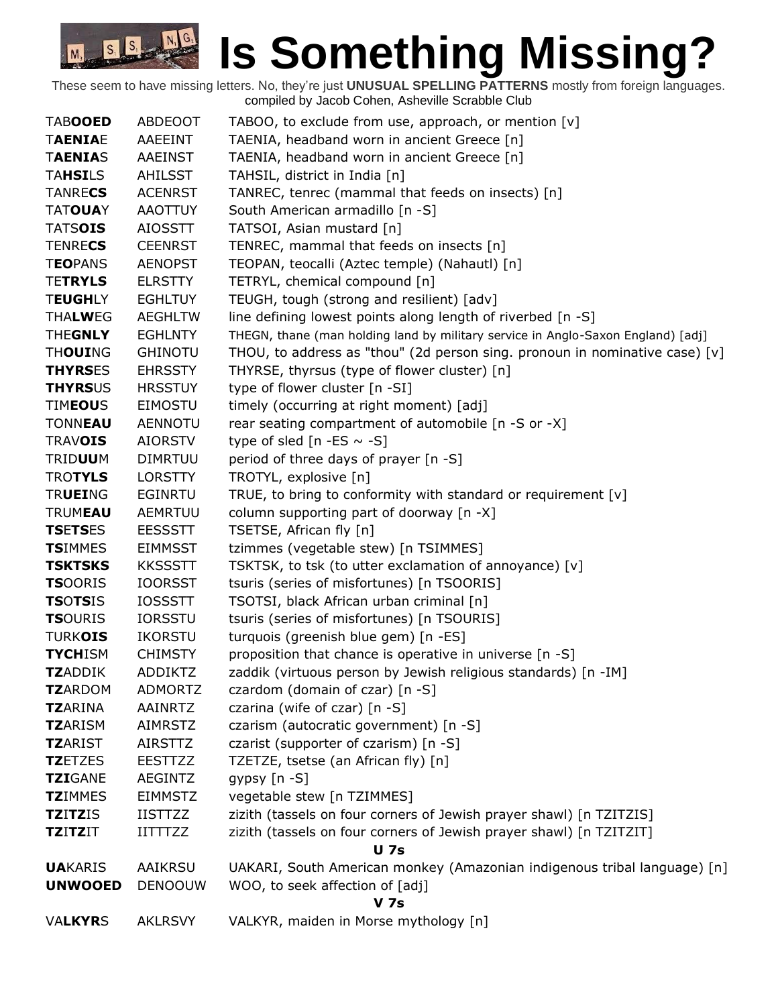| <b>TABOOED</b>  | ABDEOOT        | TABOO, to exclude from use, approach, or mention [v]                             |
|-----------------|----------------|----------------------------------------------------------------------------------|
| <b>TAENIAE</b>  | AAEEINT        | TAENIA, headband worn in ancient Greece [n]                                      |
| <b>TAENIAS</b>  | AAEINST        | TAENIA, headband worn in ancient Greece [n]                                      |
| <b>TAHSILS</b>  | AHILSST        | TAHSIL, district in India [n]                                                    |
| <b>TANRECS</b>  | <b>ACENRST</b> | TANREC, tenrec (mammal that feeds on insects) [n]                                |
| <b>TATOUAY</b>  | <b>AAOTTUY</b> | South American armadillo [n -S]                                                  |
| <b>TATSOIS</b>  | <b>AIOSSTT</b> | TATSOI, Asian mustard [n]                                                        |
| <b>TENRECS</b>  | <b>CEENRST</b> | TENREC, mammal that feeds on insects [n]                                         |
| <b>TEOPANS</b>  | <b>AENOPST</b> | TEOPAN, teocalli (Aztec temple) (Nahautl) [n]                                    |
| <b>TETRYLS</b>  | <b>ELRSTTY</b> | TETRYL, chemical compound [n]                                                    |
| <b>TEUGHLY</b>  | <b>EGHLTUY</b> | TEUGH, tough (strong and resilient) [adv]                                        |
| <b>THALWEG</b>  | <b>AEGHLTW</b> | line defining lowest points along length of riverbed [n -S]                      |
| <b>THEGNLY</b>  | <b>EGHLNTY</b> | THEGN, thane (man holding land by military service in Anglo-Saxon England) [adj] |
| <b>THOUING</b>  | <b>GHINOTU</b> | THOU, to address as "thou" (2d person sing. pronoun in nominative case) $[v]$    |
| <b>THYRSES</b>  | <b>EHRSSTY</b> | THYRSE, thyrsus (type of flower cluster) [n]                                     |
| <b>THYRSUS</b>  | <b>HRSSTUY</b> | type of flower cluster [n -SI]                                                   |
| <b>TIMEOUS</b>  | EIMOSTU        | timely (occurring at right moment) [adj]                                         |
| <b>TONNEAU</b>  | <b>AENNOTU</b> | rear seating compartment of automobile [n -S or -X]                              |
| <b>TRAVOIS</b>  | <b>AIORSTV</b> | type of sled $[n - ES \sim -S]$                                                  |
| <b>TRIDUUM</b>  | <b>DIMRTUU</b> | period of three days of prayer [n -S]                                            |
| <b>TROTYLS</b>  | <b>LORSTTY</b> | TROTYL, explosive [n]                                                            |
| <b>TRUEING</b>  | <b>EGINRTU</b> | TRUE, to bring to conformity with standard or requirement [v]                    |
| <b>TRUMEAU</b>  | <b>AEMRTUU</b> | column supporting part of doorway [n -X]                                         |
| <b>TSETSES</b>  | <b>EESSSTT</b> | TSETSE, African fly [n]                                                          |
| <b>TSIMMES</b>  | <b>EIMMSST</b> | tzimmes (vegetable stew) [n TSIMMES]                                             |
| <b>TSKTSKS</b>  | <b>KKSSSTT</b> | TSKTSK, to tsk (to utter exclamation of annoyance) [v]                           |
| <b>TS</b> OORIS | <b>IOORSST</b> | tsuris (series of misfortunes) [n TSOORIS]                                       |
| <b>TSOTSIS</b>  | <b>IOSSSTT</b> | TSOTSI, black African urban criminal [n]                                         |
| <b>TSOURIS</b>  | <b>IORSSTU</b> | tsuris (series of misfortunes) [n TSOURIS]                                       |
| <b>TURKOIS</b>  | <b>IKORSTU</b> | turquois (greenish blue gem) [n -ES]                                             |
| <b>TYCHISM</b>  | <b>CHIMSTY</b> | proposition that chance is operative in universe [n -S]                          |
| <b>TZADDIK</b>  | <b>ADDIKTZ</b> | zaddik (virtuous person by Jewish religious standards) [n -IM]                   |
| <b>TZARDOM</b>  | <b>ADMORTZ</b> | czardom (domain of czar) [n -S]                                                  |
| <b>TZARINA</b>  | AAINRTZ        | czarina (wife of czar) [n -S]                                                    |
| <b>TZARISM</b>  | <b>AIMRSTZ</b> | czarism (autocratic government) [n -S]                                           |
| <b>TZARIST</b>  | <b>AIRSTTZ</b> | czarist (supporter of czarism) [n -S]                                            |
| <b>TZETZES</b>  | <b>EESTTZZ</b> | TZETZE, tsetse (an African fly) [n]                                              |
| <b>TZIGANE</b>  | <b>AEGINTZ</b> | gypsy $[n - S]$                                                                  |
| <b>TZIMMES</b>  | <b>EIMMSTZ</b> | vegetable stew [n TZIMMES]                                                       |
| <b>TZITZIS</b>  | <b>IISTTZZ</b> | zizith (tassels on four corners of Jewish prayer shawl) [n TZITZIS]              |
| <b>TZITZIT</b>  | <b>IITTTZZ</b> | zizith (tassels on four corners of Jewish prayer shawl) [n TZITZIT]              |
|                 |                | <b>U</b> 7s                                                                      |
| <b>UA</b> KARIS | AAIKRSU        | UAKARI, South American monkey (Amazonian indigenous tribal language) [n]         |
| <b>UNWOOED</b>  | <b>DENOOUW</b> | WOO, to seek affection of [adj]                                                  |
|                 |                | <b>V</b> 7s                                                                      |
| <b>VALKYRS</b>  | <b>AKLRSVY</b> | VALKYR, maiden in Morse mythology [n]                                            |